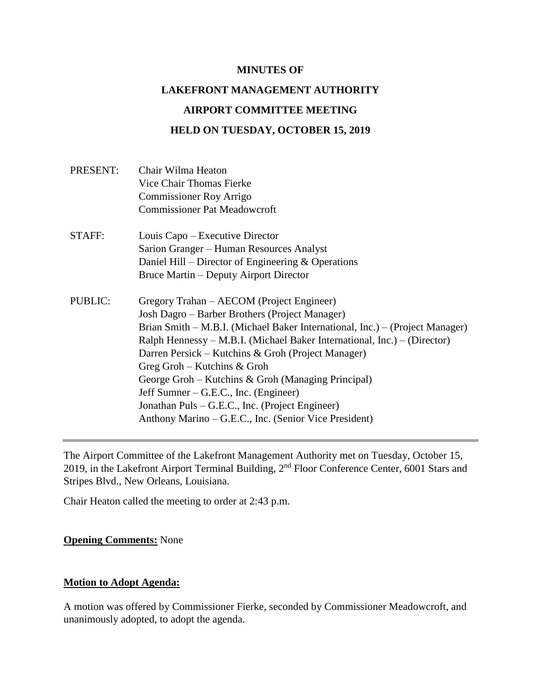#### **MINUTES OF**

# **LAKEFRONT MANAGEMENT AUTHORITY**

# **AIRPORT COMMITTEE MEETING**

# **HELD ON TUESDAY, OCTOBER 15, 2019**

| Commissioner Roy Arrigo<br><b>Commissioner Pat Meadowcroft</b><br>STAFF:<br>Louis Capo – Executive Director<br>Sarion Granger – Human Resources Analyst<br>Daniel Hill – Director of Engineering $&$ Operations<br>Bruce Martin – Deputy Airport Director<br>PUBLIC:<br>Gregory Trahan – AECOM (Project Engineer)<br>Josh Dagro – Barber Brothers (Project Manager)<br>Ralph Hennessy – M.B.I. (Michael Baker International, Inc.) – (Director)<br>Darren Persick – Kutchins & Groh (Project Manager)<br>Greg Groh – Kutchins $&$ Groh<br>George Groh – Kutchins & Groh (Managing Principal)<br>Jeff Sumner – G.E.C., Inc. (Engineer)<br>Jonathan Puls – G.E.C., Inc. (Project Engineer)<br>Anthony Marino – G.E.C., Inc. (Senior Vice President) | PRESENT: | Chair Wilma Heaton<br>Vice Chair Thomas Fierke                               |
|---------------------------------------------------------------------------------------------------------------------------------------------------------------------------------------------------------------------------------------------------------------------------------------------------------------------------------------------------------------------------------------------------------------------------------------------------------------------------------------------------------------------------------------------------------------------------------------------------------------------------------------------------------------------------------------------------------------------------------------------------|----------|------------------------------------------------------------------------------|
|                                                                                                                                                                                                                                                                                                                                                                                                                                                                                                                                                                                                                                                                                                                                                   |          |                                                                              |
|                                                                                                                                                                                                                                                                                                                                                                                                                                                                                                                                                                                                                                                                                                                                                   |          |                                                                              |
|                                                                                                                                                                                                                                                                                                                                                                                                                                                                                                                                                                                                                                                                                                                                                   |          |                                                                              |
|                                                                                                                                                                                                                                                                                                                                                                                                                                                                                                                                                                                                                                                                                                                                                   |          |                                                                              |
|                                                                                                                                                                                                                                                                                                                                                                                                                                                                                                                                                                                                                                                                                                                                                   |          |                                                                              |
|                                                                                                                                                                                                                                                                                                                                                                                                                                                                                                                                                                                                                                                                                                                                                   |          |                                                                              |
|                                                                                                                                                                                                                                                                                                                                                                                                                                                                                                                                                                                                                                                                                                                                                   |          |                                                                              |
|                                                                                                                                                                                                                                                                                                                                                                                                                                                                                                                                                                                                                                                                                                                                                   |          |                                                                              |
|                                                                                                                                                                                                                                                                                                                                                                                                                                                                                                                                                                                                                                                                                                                                                   |          | Brian Smith – M.B.I. (Michael Baker International, Inc.) – (Project Manager) |
|                                                                                                                                                                                                                                                                                                                                                                                                                                                                                                                                                                                                                                                                                                                                                   |          |                                                                              |
|                                                                                                                                                                                                                                                                                                                                                                                                                                                                                                                                                                                                                                                                                                                                                   |          |                                                                              |
|                                                                                                                                                                                                                                                                                                                                                                                                                                                                                                                                                                                                                                                                                                                                                   |          |                                                                              |
|                                                                                                                                                                                                                                                                                                                                                                                                                                                                                                                                                                                                                                                                                                                                                   |          |                                                                              |
|                                                                                                                                                                                                                                                                                                                                                                                                                                                                                                                                                                                                                                                                                                                                                   |          |                                                                              |
|                                                                                                                                                                                                                                                                                                                                                                                                                                                                                                                                                                                                                                                                                                                                                   |          |                                                                              |
|                                                                                                                                                                                                                                                                                                                                                                                                                                                                                                                                                                                                                                                                                                                                                   |          |                                                                              |

The Airport Committee of the Lakefront Management Authority met on Tuesday, October 15, 2019, in the Lakefront Airport Terminal Building, 2nd Floor Conference Center, 6001 Stars and Stripes Blvd., New Orleans, Louisiana.

Chair Heaton called the meeting to order at 2:43 p.m.

#### **Opening Comments:** None

## **Motion to Adopt Agenda:**

A motion was offered by Commissioner Fierke, seconded by Commissioner Meadowcroft, and unanimously adopted, to adopt the agenda.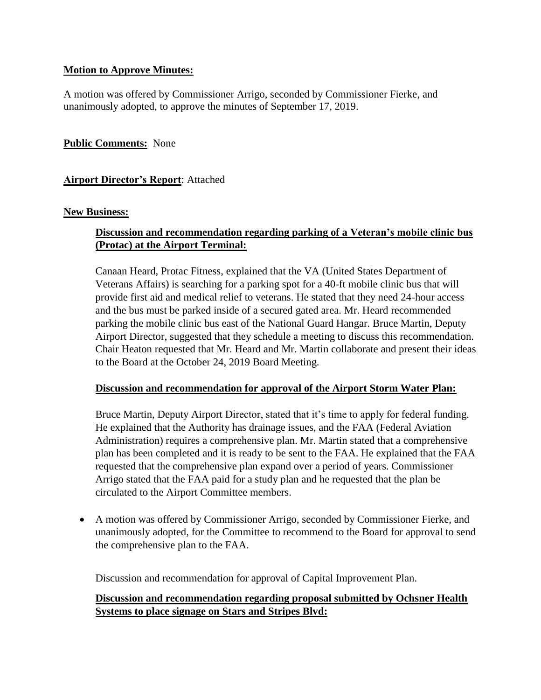# **Motion to Approve Minutes:**

A motion was offered by Commissioner Arrigo, seconded by Commissioner Fierke, and unanimously adopted, to approve the minutes of September 17, 2019.

# **Public Comments:** None

# **Airport Director's Report**: Attached

## **New Business:**

# **Discussion and recommendation regarding parking of a Veteran's mobile clinic bus (Protac) at the Airport Terminal:**

Canaan Heard, Protac Fitness, explained that the VA (United States Department of Veterans Affairs) is searching for a parking spot for a 40-ft mobile clinic bus that will provide first aid and medical relief to veterans. He stated that they need 24-hour access and the bus must be parked inside of a secured gated area. Mr. Heard recommended parking the mobile clinic bus east of the National Guard Hangar. Bruce Martin, Deputy Airport Director, suggested that they schedule a meeting to discuss this recommendation. Chair Heaton requested that Mr. Heard and Mr. Martin collaborate and present their ideas to the Board at the October 24, 2019 Board Meeting.

## **Discussion and recommendation for approval of the Airport Storm Water Plan:**

Bruce Martin, Deputy Airport Director, stated that it's time to apply for federal funding. He explained that the Authority has drainage issues, and the FAA (Federal Aviation Administration) requires a comprehensive plan. Mr. Martin stated that a comprehensive plan has been completed and it is ready to be sent to the FAA. He explained that the FAA requested that the comprehensive plan expand over a period of years. Commissioner Arrigo stated that the FAA paid for a study plan and he requested that the plan be circulated to the Airport Committee members.

• A motion was offered by Commissioner Arrigo, seconded by Commissioner Fierke, and unanimously adopted, for the Committee to recommend to the Board for approval to send the comprehensive plan to the FAA.

Discussion and recommendation for approval of Capital Improvement Plan.

# **Discussion and recommendation regarding proposal submitted by Ochsner Health Systems to place signage on Stars and Stripes Blvd:**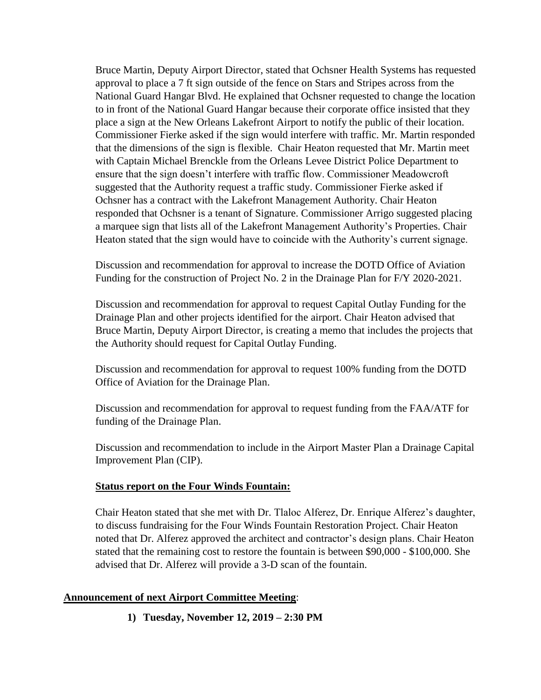Bruce Martin, Deputy Airport Director, stated that Ochsner Health Systems has requested approval to place a 7 ft sign outside of the fence on Stars and Stripes across from the National Guard Hangar Blvd. He explained that Ochsner requested to change the location to in front of the National Guard Hangar because their corporate office insisted that they place a sign at the New Orleans Lakefront Airport to notify the public of their location. Commissioner Fierke asked if the sign would interfere with traffic. Mr. Martin responded that the dimensions of the sign is flexible. Chair Heaton requested that Mr. Martin meet with Captain Michael Brenckle from the Orleans Levee District Police Department to ensure that the sign doesn't interfere with traffic flow. Commissioner Meadowcroft suggested that the Authority request a traffic study. Commissioner Fierke asked if Ochsner has a contract with the Lakefront Management Authority. Chair Heaton responded that Ochsner is a tenant of Signature. Commissioner Arrigo suggested placing a marquee sign that lists all of the Lakefront Management Authority's Properties. Chair Heaton stated that the sign would have to coincide with the Authority's current signage.

Discussion and recommendation for approval to increase the DOTD Office of Aviation Funding for the construction of Project No. 2 in the Drainage Plan for F/Y 2020-2021.

Discussion and recommendation for approval to request Capital Outlay Funding for the Drainage Plan and other projects identified for the airport. Chair Heaton advised that Bruce Martin, Deputy Airport Director, is creating a memo that includes the projects that the Authority should request for Capital Outlay Funding.

Discussion and recommendation for approval to request 100% funding from the DOTD Office of Aviation for the Drainage Plan.

Discussion and recommendation for approval to request funding from the FAA/ATF for funding of the Drainage Plan.

Discussion and recommendation to include in the Airport Master Plan a Drainage Capital Improvement Plan (CIP).

## **Status report on the Four Winds Fountain:**

Chair Heaton stated that she met with Dr. Tlaloc Alferez, Dr. Enrique Alferez's daughter, to discuss fundraising for the Four Winds Fountain Restoration Project. Chair Heaton noted that Dr. Alferez approved the architect and contractor's design plans. Chair Heaton stated that the remaining cost to restore the fountain is between \$90,000 - \$100,000. She advised that Dr. Alferez will provide a 3-D scan of the fountain.

## **Announcement of next Airport Committee Meeting**:

**1) Tuesday, November 12, 2019 – 2:30 PM**